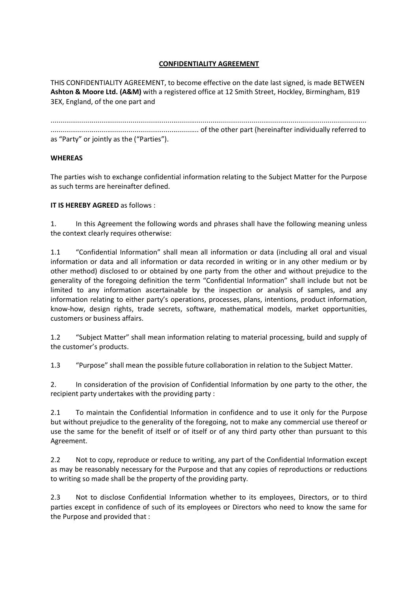## **CONFIDENTIALITY AGREEMENT**

THIS CONFIDENTIALITY AGREEMENT, to become effective on the date last signed, is made BETWEEN **Ashton & Moore Ltd. (A&M)** with a registered office at 12 Smith Street, Hockley, Birmingham, B19 3EX, England, of the one part and

|                                           | of the other part (hereinafter individually referred to methods intermal continuing the other part (hereinafter individually referred to |
|-------------------------------------------|------------------------------------------------------------------------------------------------------------------------------------------|
| as "Party" or jointly as the ("Parties"). |                                                                                                                                          |

## **WHEREAS**

The parties wish to exchange confidential information relating to the Subject Matter for the Purpose as such terms are hereinafter defined.

## **IT IS HEREBY AGREED** as follows :

1. In this Agreement the following words and phrases shall have the following meaning unless the context clearly requires otherwise:

1.1 "Confidential Information" shall mean all information or data (including all oral and visual information or data and all information or data recorded in writing or in any other medium or by other method) disclosed to or obtained by one party from the other and without prejudice to the generality of the foregoing definition the term "Confidential Information" shall include but not be limited to any information ascertainable by the inspection or analysis of samples, and any information relating to either party's operations, processes, plans, intentions, product information, know-how, design rights, trade secrets, software, mathematical models, market opportunities, customers or business affairs.

1.2 "Subject Matter" shall mean information relating to material processing, build and supply of the customer's products.

1.3 "Purpose" shall mean the possible future collaboration in relation to the Subject Matter.

2. In consideration of the provision of Confidential Information by one party to the other, the recipient party undertakes with the providing party :

2.1 To maintain the Confidential Information in confidence and to use it only for the Purpose but without prejudice to the generality of the foregoing, not to make any commercial use thereof or use the same for the benefit of itself or of itself or of any third party other than pursuant to this Agreement.

2.2 Not to copy, reproduce or reduce to writing, any part of the Confidential Information except as may be reasonably necessary for the Purpose and that any copies of reproductions or reductions to writing so made shall be the property of the providing party.

2.3 Not to disclose Confidential Information whether to its employees, Directors, or to third parties except in confidence of such of its employees or Directors who need to know the same for the Purpose and provided that :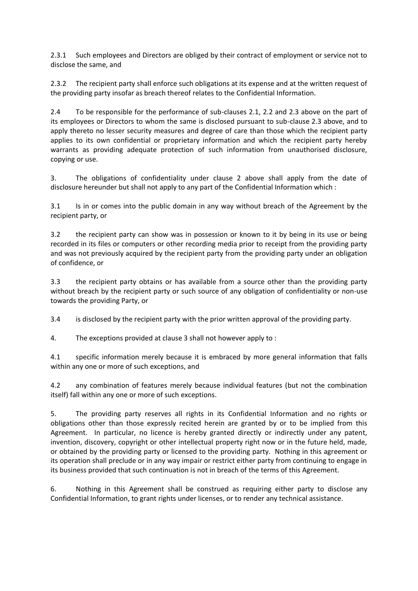2.3.1 Such employees and Directors are obliged by their contract of employment or service not to disclose the same, and

2.3.2 The recipient party shall enforce such obligations at its expense and at the written request of the providing party insofar as breach thereof relates to the Confidential Information.

2.4 To be responsible for the performance of sub-clauses 2.1, 2.2 and 2.3 above on the part of its employees or Directors to whom the same is disclosed pursuant to sub-clause 2.3 above, and to apply thereto no lesser security measures and degree of care than those which the recipient party applies to its own confidential or proprietary information and which the recipient party hereby warrants as providing adequate protection of such information from unauthorised disclosure, copying or use.

3. The obligations of confidentiality under clause 2 above shall apply from the date of disclosure hereunder but shall not apply to any part of the Confidential Information which :

3.1 Is in or comes into the public domain in any way without breach of the Agreement by the recipient party, or

3.2 the recipient party can show was in possession or known to it by being in its use or being recorded in its files or computers or other recording media prior to receipt from the providing party and was not previously acquired by the recipient party from the providing party under an obligation of confidence, or

3.3 the recipient party obtains or has available from a source other than the providing party without breach by the recipient party or such source of any obligation of confidentiality or non-use towards the providing Party, or

3.4 is disclosed by the recipient party with the prior written approval of the providing party.

4. The exceptions provided at clause 3 shall not however apply to :

4.1 specific information merely because it is embraced by more general information that falls within any one or more of such exceptions, and

4.2 any combination of features merely because individual features (but not the combination itself) fall within any one or more of such exceptions.

5. The providing party reserves all rights in its Confidential Information and no rights or obligations other than those expressly recited herein are granted by or to be implied from this Agreement. In particular, no licence is hereby granted directly or indirectly under any patent, invention, discovery, copyright or other intellectual property right now or in the future held, made, or obtained by the providing party or licensed to the providing party. Nothing in this agreement or its operation shall preclude or in any way impair or restrict either party from continuing to engage in its business provided that such continuation is not in breach of the terms of this Agreement.

6. Nothing in this Agreement shall be construed as requiring either party to disclose any Confidential Information, to grant rights under licenses, or to render any technical assistance.